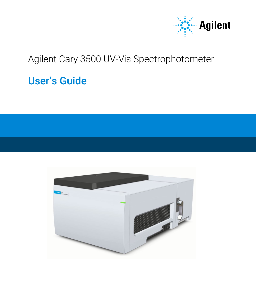

# Agilent Cary 3500 UV-Vis Spectrophotometer

# User's Guide

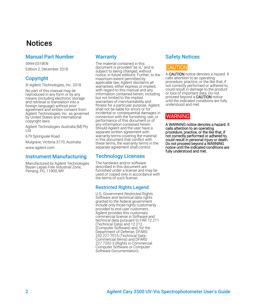# **Notices**

### Manual Part Number

5994-0319EN Edition 2, December 2018

### Copyright

© Agilent Technologies, Inc. 2018

No part of this manual may be reproduced in any form or by any means (including electronic storage and retrieval or translation into a foreign language) without prior agreement and written consent from Agilent Technologies, Inc. as governed by United States and international copyright laws.

Agilent Technologies Australia [M] Pty Ltd

679 Springvale Road

Mulgrave, Victoria 3170, Australia

www.agilent.com

### Instrument Manufacturing

Manufactured by Agilent Technologies Bayan Lepas Free Industrial Zone, Penang, PG, 11900, MY

### **Warranty**

The material contained in this document is provided "as is," and is subject to being changed, without notice, in future editions. Further, to the maximum extent permitted by applicable law, Agilent disclaims all warranties, either express or implied, with regard to this manual and any information contained herein, including but not limited to the implied warranties of merchantability and fitness for a particular purpose. Agilent shall not be liable for errors or for incidental or consequential damages in connection with the furnishing, use, or performance of this document or of any information contained herein. Should Agilent and the user have a separate written agreement with warranty terms covering the material in this document that conflict with these terms, the warranty terms in the separate agreement shall control.

### Technology Licenses

The hardware and/or software described in this document are furnished under a license and may be used or copied only in accordance with the terms of such license.

### Restricted Rights Legend

U.S. Government Restricted Rights. Software and technical data rights granted to the federal government include only those rights customarily provided to end user customers. Agilent provides this customary commercial license in Software and technical data pursuant to FAR 12.211 (Technical Data) and 12.212 (Computer Software) and, for the Department of Defense, DFARS<br>252.227-7015 (Technical Data -Commercial Items) and DFARS 227.7202-3 (Rights in Commercial Computer Software or Computer Software Documentation).

### Safety Notices

### CAUTION

A CAUTION notice denotes a hazard. It calls attention to an operating procedure, practice, or the like that, if not correctly performed or adhered to, could result in damage to the product or loss of important data. Do not proceed beyond a CAUTION notice until the indicated conditions are fully understood and met.

### WARNING

A WARNING notice denotes a hazard. It calls attention to an operating procedure, practice, or the like that, if not correctly performed or adhered to, could result in personal injury or death. Do not proceed beyond a WARNING notice until the indicated conditions are fully understood and met.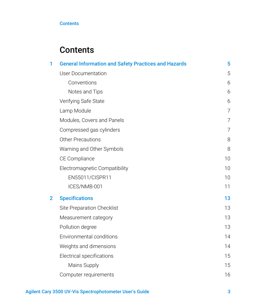### **Contents**

# **Contents**

| 1              | <b>General Information and Safety Practices and Hazards</b> | 5  |
|----------------|-------------------------------------------------------------|----|
|                | <b>User Documentation</b>                                   | 5  |
|                | Conventions                                                 | 6  |
|                | Notes and Tips                                              | 6  |
|                | Verifying Safe State                                        | 6  |
|                | Lamp Module                                                 | 7  |
|                | Modules, Covers and Panels                                  | 7  |
|                | Compressed gas cylinders                                    | 7  |
|                | <b>Other Precautions</b>                                    | 8  |
|                | Warning and Other Symbols                                   | 8  |
|                | CE Compliance                                               | 10 |
|                | Electromagnetic Compatibility                               | 10 |
|                | EN55011/CISPR11                                             | 10 |
|                | ICES/NMB-001                                                | 11 |
| $\overline{2}$ | <b>Specifications</b>                                       | 13 |
|                | <b>Site Preparation Checklist</b>                           | 13 |
|                | Measurement category                                        | 13 |
|                | Pollution degree                                            | 13 |
|                | Environmental conditions                                    | 14 |
|                | Weights and dimensions                                      | 14 |
|                | Electrical specifications                                   | 15 |
|                | Mains Supply                                                | 15 |
|                | Computer requirements                                       | 16 |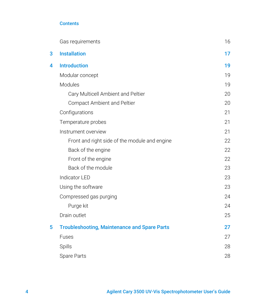### **Contents**

|   | Gas requirements                                    | 16 |
|---|-----------------------------------------------------|----|
| 3 | <b>Installation</b>                                 | 17 |
| 4 | <b>Introduction</b>                                 | 19 |
|   | Modular concept                                     | 19 |
|   | Modules                                             | 19 |
|   | Cary Multicell Ambient and Peltier                  | 20 |
|   | <b>Compact Ambient and Peltier</b>                  | 20 |
|   | Configurations                                      | 21 |
|   | Temperature probes                                  | 21 |
|   | Instrument overview                                 | 21 |
|   | Front and right side of the module and engine       | 22 |
|   | Back of the engine                                  | 22 |
|   | Front of the engine                                 | 22 |
|   | Back of the module                                  | 23 |
|   | <b>Indicator LED</b>                                | 23 |
|   | Using the software                                  | 23 |
|   | Compressed gas purging                              | 24 |
|   | Purge kit                                           | 24 |
|   | Drain outlet                                        | 25 |
| 5 | <b>Troubleshooting, Maintenance and Spare Parts</b> | 27 |
|   | <b>Fuses</b>                                        | 27 |
|   | Spills                                              | 28 |
|   | Spare Parts                                         | 28 |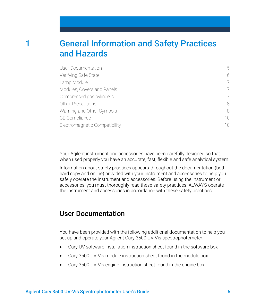# 1 General Information and Safety Practices and Hazards

<span id="page-4-0"></span>

| User Documentation            | 5  |
|-------------------------------|----|
| Verifying Safe State          | 6  |
| Lamp Module                   | 7  |
| Modules, Covers and Panels    | 7  |
| Compressed gas cylinders      | 7  |
| Other Precautions             | 8  |
| Warning and Other Symbols     | 8  |
| CE Compliance                 | 10 |
| Electromagnetic Compatibility | 10 |
|                               |    |

Your Agilent instrument and accessories have been carefully designed so that when used properly you have an accurate, fast, flexible and safe analytical system.

Information about safety practices appears throughout the documentation (both hard copy and online) provided with your instrument and accessories to help you safely operate the instrument and accessories. Before using the instrument or accessories, you must thoroughly read these safety practices. ALWAYS operate the instrument and accessories in accordance with these safety practices.

## <span id="page-4-1"></span>User Documentation

You have been provided with the following additional documentation to help you set up and operate your Agilent Cary 3500 UV-Vis spectrophotometer:

- Cary UV software installation instruction sheet found in the software box
- Cary 3500 UV-Vis module instruction sheet found in the module box
- Cary 3500 UV-Vis engine instruction sheet found in the engine box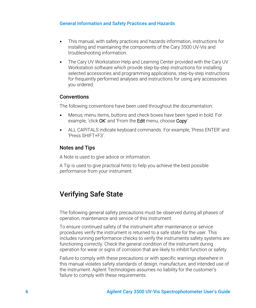### General Information and Safety Practices and Hazards

- This manual, with safety practices and hazards information, instructions for installing and maintaining the components of the Cary 3500 UV-Vis and troubleshooting information.
- The Cary UV Workstation Help and Learning Center provided with the Cary UV Workstation software which provide step-by-step instructions for installing selected accessories and programming applications, step-by-step instructions for frequently performed analyses and instructions for using any accessories you ordered.

### <span id="page-5-0"></span>**Conventions**

The following conventions have been used throughout the documentation:

- Menus, menu items, buttons and check boxes have been typed in bold. For example, 'click OK' and 'From the Edit menu, choose Copy'.
- ALL CAPITALS indicate keyboard commands. For example, 'Press ENTER' and 'Press SHIFT+F3'.

### <span id="page-5-1"></span>Notes and Tips

A Note is used to give advice or information.

<span id="page-5-2"></span>A Tip is used to give practical hints to help you achieve the best possible performance from your instrument.

# Verifying Safe State

The following general safety precautions must be observed during all phases of operation, maintenance and service of this instrument.

To ensure continued safety of the instrument after maintenance or service procedures verify the instrument is returned to a safe state for the user. This includes running performance checks to verify the instruments safety systems are functioning correctly. Check the general condition of the instrument during operation for wear or signs of corrosion that are likely to inhibit function or safety.

Failure to comply with these precautions or with specific warnings elsewhere in this manual violates safety standards of design, manufacture, and intended use of the instrument. Agilent Technologies assumes no liability for the customer's failure to comply with these requirements.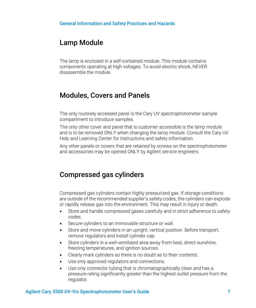# <span id="page-6-0"></span>Lamp Module

<span id="page-6-1"></span>The lamp is enclosed in a self-contained module. This module contains components operating at high voltages. To avoid electric shock, NEVER disassemble the module.

# Modules, Covers and Panels

The only routinely accessed panel is the Cary UV spectrophotometer sample compartment to introduce samples.

The only other cover and panel that is customer accessible is the lamp module and is to be removed ONLY when changing the lamp module. Consult the Cary UV Help and Learning Center for instructions and safety information.

<span id="page-6-2"></span>Any other panels or covers that are retained by screws on the spectrophotometer and accessories may be opened ONLY by Agilent service engineers.

# Compressed gas cylinders

Compressed gas cylinders contain highly pressurized gas. If storage conditions are outside of the recommended supplier's safety codes, the cylinders can explode or rapidly release gas into the environment. This may result in injury or death.

- Store and handle compressed gases carefully and in strict adherence to safety codes.
- Secure cylinders to an immovable structure or wall.
- Store and move cylinders in an upright, vertical position. Before transport, remove regulators and install cylinder cap.
- Store cylinders in a well-ventilated area away from heat, direct sunshine, freezing temperatures, and ignition sources.
- Clearly mark cylinders so there is no doubt as to their contents.
- Use only approved regulators and connections.
- Use only connector tubing that is chromatographically clean and has a pressure rating significantly greater than the highest outlet pressure from the regulator.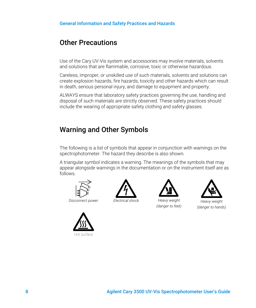# <span id="page-7-0"></span>Other Precautions

Use of the Cary UV-Vis system and accessories may involve materials, solvents and solutions that are flammable, corrosive, toxic or otherwise hazardous.

Careless, improper, or unskilled use of such materials, solvents and solutions can create explosion hazards, fire hazards, toxicity and other hazards which can result in death, serious personal injury, and damage to equipment and property.

<span id="page-7-1"></span>ALWAYS ensure that laboratory safety practices governing the use, handling and disposal of such materials are strictly observed. These safety practices should include the wearing of appropriate safety clothing and safety glasses.

# Warning and Other Symbols

The following is a list of symbols that appear in conjunction with warnings on the spectrophotometer. The hazard they describe is also shown.

A triangular symbol indicates a warning. The meanings of the symbols that may appear alongside warnings in the documentation or on the instrument itself are as follows.







*(danger to feet)*



*Heavy weight (danger to hands)*

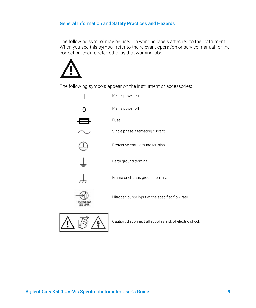### General Information and Safety Practices and Hazards

The following symbol may be used on warning labels attached to the instrument. When you see this symbol, refer to the relevant operation or service manual for the correct procedure referred to by that warning label.



The following symbols appear on the instrument or accessories:

|   | Mains power on                                           |
|---|----------------------------------------------------------|
| 0 | Mains power off                                          |
|   | Fuse                                                     |
|   | Single phase alternating current                         |
|   | Protective earth ground terminal                         |
|   | Earth ground terminal                                    |
|   | Frame or chassis ground terminal                         |
|   | Nitrogen purge input at the specified flow rate          |
|   | Caution, disconnect all supplies, risk of electric shock |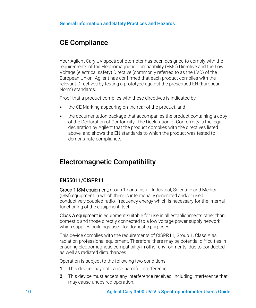# <span id="page-9-0"></span>CE Compliance

Your Agilent Cary UV spectrophotometer has been designed to comply with the requirements of the Electromagnetic Compatibility (EMC) Directive and the Low Voltage (electrical safety) Directive (commonly referred to as the LVD) of the European Union. Agilent has confirmed that each product complies with the relevant Directives by testing a prototype against the prescribed EN (European Norm) standards.

Proof that a product complies with these directives is indicated by:

- the CE Marking appearing on the rear of the product, and
- the documentation package that accompanies the product containing a copy of the Declaration of Conformity. The Declaration of Conformity is the legal declaration by Agilent that the product complies with the directives listed above, and shows the EN standards to which the product was tested to demonstrate compliance.

# <span id="page-9-1"></span>Electromagnetic Compatibility

### <span id="page-9-2"></span>EN55011/CISPR11

Group 1 ISM equipment: group 1 contains all Industrial, Scientific and Medical (ISM) equipment in which there is intentionally generated and/or used conductively coupled radio- frequency energy which is necessary for the internal functioning of the equipment itself.

Class A equipment is equipment suitable for use in all establishments other than domestic and those directly connected to a low voltage power supply network which supplies buildings used for domestic purposes.

This device complies with the requirements of CISPR11, Group 1, Class A as radiation professional equipment. Therefore, there may be potential difficulties in ensuring electromagnetic compatibility in other environments, due to conducted as well as radiated disturbances.

Operation is subject to the following two conditions:

- **1** This device may not cause harmful interference.
- **2** This device must accept any interference received, including interference that may cause undesired operation.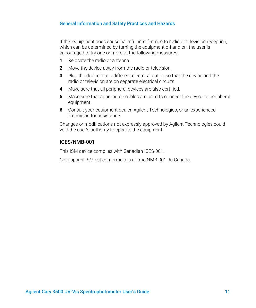### General Information and Safety Practices and Hazards

If this equipment does cause harmful interference to radio or television reception, which can be determined by turning the equipment off and on, the user is encouraged to try one or more of the following measures:

- **1** Relocate the radio or antenna.
- **2** Move the device away from the radio or television.
- **3** Plug the device into a different electrical outlet, so that the device and the radio or television are on separate electrical circuits.
- **4** Make sure that all peripheral devices are also certified.
- **5** Make sure that appropriate cables are used to connect the device to peripheral equipment.
- **6** Consult your equipment dealer, Agilent Technologies, or an experienced technician for assistance.

Changes or modifications not expressly approved by Agilent Technologies could void the user's authority to operate the equipment.

### <span id="page-10-0"></span>ICES/NMB-001

This ISM device complies with Canadian ICES-001.

Cet appareil ISM est conforme à la norme NMB-001 du Canada.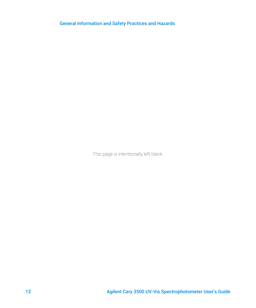This page is intentionally left blank.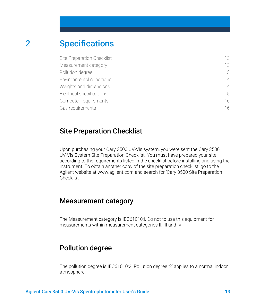# 2 Specifications

<span id="page-12-1"></span><span id="page-12-0"></span>

| Site Preparation Checklist |    |
|----------------------------|----|
| Measurement category       | 13 |
| Pollution degree           | 13 |
| Environmental conditions   | 14 |
| Weights and dimensions     | 14 |
| Electrical specifications  | 15 |
| Computer requirements      | 16 |
| Gas requirements           | 16 |
|                            |    |

## Site Preparation Checklist

Upon purchasing your Cary 3500 UV-Vis system, you were sent the Cary 3500 UV-Vis System Site Preparation Checklist. You must have prepared your site according to the requirements listed in the checklist before installing and using the instrument. To obtain another copy of the site preparation checklist, go to the Agilent website at www.agilent.com and search for 'Cary 3500 Site Preparation Checklist'.

### <span id="page-12-2"></span>Measurement category

<span id="page-12-3"></span>The Measurement category is IEC61010:I. Do not to use this equipment for measurements within measurement categories II, III and IV.

## Pollution degree

The pollution degree is IEC61010:2. Pollution degree '2' applies to a normal indoor atmosphere.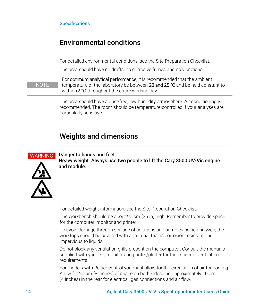### **Specifications**

# <span id="page-13-0"></span>Environmental conditions

For detailed environmental conditions, see the Site Preparation Checklist.

The area should have no drafts, no corrosive fumes and no vibrations.

### NOTE

For **optimum analytical performance**, it is recommended that the ambient temperature of the laboratory be between 20 and 25 °C and be held constant to within ±2 °C throughout the entire working day.

The area should have a dust-free, low humidity atmosphere. Air conditioning is recommended. The room should be temperature-controlled if your analyses are particularly sensitive.

# Weights and dimensions

<span id="page-13-1"></span>

WARNING Danger to hands and feet Heavy weight. Always use two people to lift the Cary 3500 UV-Vis engine and module.

For detailed weight information, see the Site Preparation Checklist.

The workbench should be about 90 cm (36 in) high. Remember to provide space for the computer, monitor and printer.

To avoid damage through spillage of solutions and samples being analyzed, the worktops should be covered with a material that is corrosion resistant and impervious to liquids.

Do not block any ventilation grills present on the computer. Consult the manuals supplied with your PC, monitor and printer/plotter for their specific ventilation requirements.

For models with Peltier control you must allow for the circulation of air for cooling. Allow for 20 cm (8 inches) of space on both sides and approximately 10 cm (4 inches) in the rear for electrical, gas connections and air flow.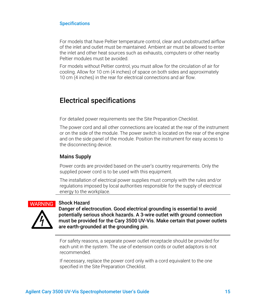### **Specifications**

For models that have Peltier temperature control, clear and unobstructed airflow of the inlet and outlet must be maintained. Ambient air must be allowed to enter the inlet and other heat sources such as exhausts, computers or other nearby Peltier modules must be avoided.

<span id="page-14-0"></span>For models without Peltier control, you must allow for the circulation of air for cooling. Allow for 10 cm (4 inches) of space on both sides and approximately 10 cm (4 inches) in the rear for electrical connections and air flow.

# Electrical specifications

For detailed power requirements see the Site Preparation Checklist.

The power cord and all other connections are located at the rear of the instrument or on the side of the module. The power switch is located on the rear of the engine and on the side panel of the module. Position the instrument for easy access to the disconnecting device.

### <span id="page-14-1"></span>Mains Supply

Power cords are provided based on the user's country requirements. Only the supplied power cord is to be used with this equipment.

The installation of electrical power supplies must comply with the rules and/or regulations imposed by local authorities responsible for the supply of electrical energy to the workplace.

### WARNING Shock Hazard



Danger of electrocution. Good electrical grounding is essential to avoid potentially serious shock hazards. A 3-wire outlet with ground connection must be provided for the Cary 3500 UV-Vis. Make certain that power outlets are earth-grounded at the grounding pin.

For safety reasons, a separate power outlet receptacle should be provided for each unit in the system. The use of extension cords or outlet adaptors is not recommended.

If necessary, replace the power cord only with a cord equivalent to the one specified in the Site Preparation Checklist.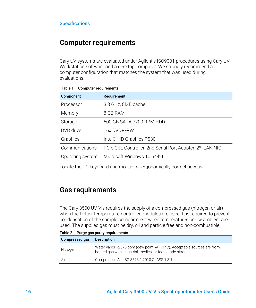# <span id="page-15-0"></span>Computer requirements

Cary UV systems are evaluated under Agilent's ISO9001 procedures using Cary UV Workstation software and a desktop computer. We strongly recommend a computer configuration that matches the system that was used during evaluations.

| Component        | Requirement                                                           |
|------------------|-----------------------------------------------------------------------|
| Processor        | 3.3 GHz, 8MB cache                                                    |
| Memory           | 8 GB RAM                                                              |
| Storage          | 500 GB SATA 7200 RPM HDD                                              |
| DVD drive        | 16x DVD+ -RW                                                          |
| Graphics         | Intel® HD Graphics P530                                               |
| Communications   | PCIe GbE Controller; 2nd Serial Port Adapter, 2 <sup>nd</sup> LAN NIC |
| Operating system | Microsoft Windows 10 64-bit                                           |

Table 1 Computer requirements

<span id="page-15-1"></span>Locate the PC keyboard and mouse for ergonomically correct access.

## Gas requirements

The Cary 3500 UV-Vis requires the supply of a compressed gas (nitrogen or air) when the Peltier temperature-controlled modules are used. It is required to prevent condensation of the sample compartment when temperatures below ambient are used. The supplied gas must be dry, oil and particle free and non-combustible.

| Compressed gas | <b>Description</b>                                                                                                                         |
|----------------|--------------------------------------------------------------------------------------------------------------------------------------------|
| Nitrogen       | Water vapor <2570 ppm (dew point $@ -10 °C$ ). Acceptable sources are from<br>bottled gas with industrial, medical or food grade nitrogen. |
| Air            | Compressed Air: ISO 8573-1:2010 CLASS 1.3.1                                                                                                |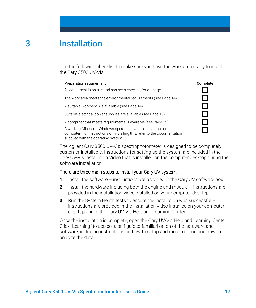# 3 Installation

<span id="page-16-0"></span>Use the following checklist to make sure you have the work area ready to install the Cary 3500 UV-Vis.

| <b>Preparation requirement</b>                                                                                                                                                       | Complete |
|--------------------------------------------------------------------------------------------------------------------------------------------------------------------------------------|----------|
| All equipment is on site and has been checked for damage.                                                                                                                            |          |
| The work area meets the environmental requirements (see Page 14).                                                                                                                    |          |
| A suitable workbench is available (see Page 14).                                                                                                                                     |          |
| Suitable electrical power supplies are available (see Page 15).                                                                                                                      |          |
| A computer that meets requirements is available (see Page 16).                                                                                                                       |          |
| A working Microsoft Windows operating system is installed on the<br>computer. For instructions on installing this, refer to the documentation<br>supplied with the operating system. |          |

The Agilent Cary 3500 UV-Vis spectrophotometer is designed to be completely customer-installable. Instructions for setting up the system are included in the Cary UV-Vis Installation Video that is installed on the computer desktop during the software installation.

#### There are three main steps to install your Cary UV system:

- **1** Install the software instructions are provided in the Cary UV software box
- **2** Install the hardware including both the engine and module instructions are provided in the installation video installed on your computer desktop
- **3** Run the System Heath tests to ensure the installation was successful instructions are provided in the installation video installed on your computer desktop and in the Cary UV-Vis Help and Learning Center

Once the installation is complete, open the Cary UV-Vis Help and Learning Center. Click "Learning" to access a self-guided familiarization of the hardware and software, including instructions on how to setup and run a method and how to analyze the data.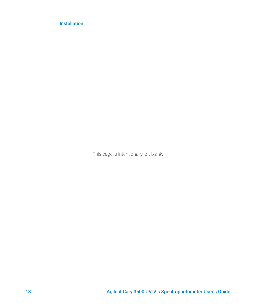Installation

This page is intentionally left blank.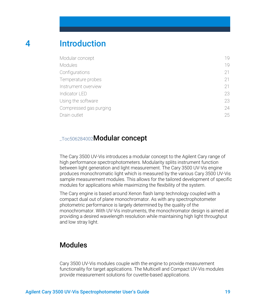<span id="page-18-0"></span>

| 19 |
|----|
| 19 |
| 21 |
| 21 |
| 21 |
| 23 |
| 23 |
| 24 |
| 25 |
|    |

### <span id="page-18-1"></span>\_Toc506284002Modular concept

The Cary 3500 UV-Vis introduces a modular concept to the Agilent Cary range of high performance spectrophotometers. Modularity splits instrument function between light generation and light measurement. The Cary 3500 UV-Vis engine produces monochromatic light which is measured by the various Cary 3500 UV-Vis sample measurement modules. This allows for the tailored development of specific modules for applications while maximizing the flexibility of the system.

The Cary engine is based around Xenon flash lamp technology coupled with a compact dual out of plane monochromator. As with any spectrophotometer photometric performance is largely determined by the quality of the monochromator. With UV-Vis instruments, the monochromator design is aimed at providing a desired wavelength resolution while maintaining high light throughput and low stray light.

## <span id="page-18-2"></span>Modules

Cary 3500 UV-Vis modules couple with the engine to provide measurement functionality for target applications. The Multicell and Compact UV-Vis modules provide measurement solutions for cuvette-based applications.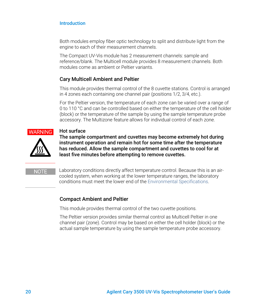Both modules employ fiber optic technology to split and distribute light from the engine to each of their measurement channels.

The Compact UV-Vis module has 2 measurement channels: sample and reference/blank. The Multicell module provides 8 measurement channels. Both modules come as ambient or Peltier variants.

### <span id="page-19-0"></span>Cary Multicell Ambient and Peltier

This module provides thermal control of the 8 cuvette stations. Control is arranged in 4 zones each containing one channel pair (positions 1/2, 3/4, etc.).

For the Peltier version, the temperature of each zone can be varied over a range of 0 to 110 °C and can be controlled based on either the temperature of the cell holder (block) or the temperature of the sample by using the sample temperature probe accessory. The Multizone feature allows for individual control of each zone.



The sample compartment and cuvettes may become extremely hot during instrument operation and remain hot for some time after the temperature has reduced. Allow the sample compartment and cuvettes to cool for at least five minutes before attempting to remove cuvettes.

<span id="page-19-1"></span>

NOTE Laboratory conditions directly affect temperature control. Because this is an aircooled system, when working at the lower temperature ranges, the laboratory conditions must meet the lower end of th[e Environmental Specifications.](#page-13-0)

### Compact Ambient and Peltier

This module provides thermal control of the two cuvette positions.

The Peltier version provides similar thermal control as Multicell Peltier in one channel pair (zone). Control may be based on either the cell holder (block) or the actual sample temperature by using the sample temperature probe accessory.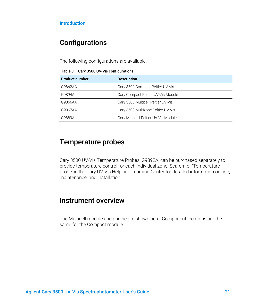# <span id="page-20-0"></span>**Configurations**

The following configurations are available.

| Table 3 | Cary 3500 UV-Vis configurations |
|---------|---------------------------------|
|---------|---------------------------------|

| <b>Product number</b> | <b>Description</b>                   |
|-----------------------|--------------------------------------|
| G9862AA               | Cary 3500 Compact Peltier UV-Vis     |
| G9894A                | Cary Compact Peltier UV-Vis Module   |
| G9866AA               | Cary 3500 Multicell Peltier UV-Vis   |
| G9867AA               | Cary 3500 Multizone Peltier UV-Vis   |
| G9889A                | Cary Multicell Peltier UV-Vis Module |

## <span id="page-20-1"></span>Temperature probes

Cary 3500 UV-Vis Temperature Probes, G9892A, can be purchased separately to provide temperature control for each individual zone. Search for 'Temperature Probe' in the Cary UV-Vis Help and Learning Center for detailed information on use, maintenance, and installation.

# <span id="page-20-2"></span>Instrument overview

The Multicell module and engine are shown here. Component locations are the same for the Compact module.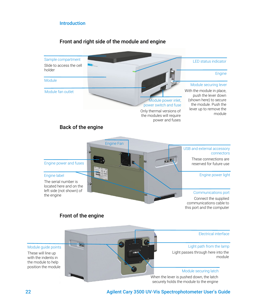### Front and right side of the module and engine

<span id="page-21-1"></span><span id="page-21-0"></span>

<span id="page-21-2"></span>22 Agilent Cary 3500 UV-Vis Spectrophotometer User's Guide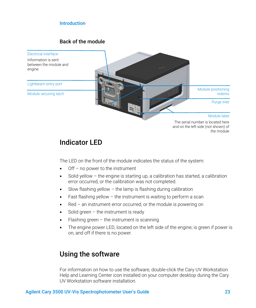### Back of the module

<span id="page-22-0"></span>

The serial number is located here and on the left side (not shown) of the module

# <span id="page-22-1"></span>Indicator LED

The LED on the front of the module indicates the status of the system:

- Off no power to the instrument
- Solid yellow the engine is starting up, a calibration has started, a calibration error occurred, or the calibration was not completed.
- $\bullet$  Slow flashing yellow the lamp is flashing during calibration
- Fast flashing yellow the instrument is waiting to perform a scan
- $\bullet$  Red an instrument error occurred, or the module is powering on
- $\bullet$  Solid green the instrument is ready
- <span id="page-22-2"></span> $\bullet$  Flashing green – the instrument is scanning
- The engine power LED, located on the left side of the engine, is green if power is on, and off if there is no power.

# Using the software

For information on how to use the software, double-click the Cary UV Workstation Help and Learning Center icon installed on your computer desktop during the Cary UV Workstation software installation.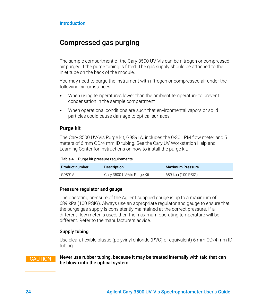# <span id="page-23-0"></span>Compressed gas purging

The sample compartment of the Cary 3500 UV-Vis can be nitrogen or compressed air purged if the purge tubing is fitted. The gas supply should be attached to the inlet tube on the back of the module.

You may need to purge the instrument with nitrogen or compressed air under the following circumstances:

- When using temperatures lower than the ambient temperature to prevent condensation in the sample compartment
- When operational conditions are such that environmental vapors or solid particles could cause damage to optical surfaces.

### <span id="page-23-1"></span>Purge kit

The Cary 3500 UV-Vis Purge kit, G9891A, includes the 0-30 LPM flow meter and 5 meters of 6 mm OD/4 mm ID tubing. See the Cary UV Workstation Help and Learning Center for instructions on how to install the purge kit.

| Table 4 | Purge kit pressure requirements |  |
|---------|---------------------------------|--|
|---------|---------------------------------|--|

| <b>Product number</b> | <b>Description</b>         | <b>Maximum Pressure</b> |
|-----------------------|----------------------------|-------------------------|
| G9891A                | Cary 3500 UV-Vis Purge Kit | 689 kpa (100 PSIG)      |

### Pressure regulator and gauge

The operating pressure of the Agilent supplied gauge is up to a maximum of 689 kPa (100 PSIG). Always use an appropriate regulator and gauge to ensure that the purge gas supply is consistently maintained at the correct pressure. If a different flow meter is used, then the maximum operating temperature will be different. Refer to the manufacturers advice

### Supply tubing

Use clean, flexible plastic (polyvinyl chloride (PVC) or equivalent) 6 mm OD/4 mm ID tubing.

### CAUTION Never use rubber tubing, because it may be treated internally with talc that can be blown into the optical system.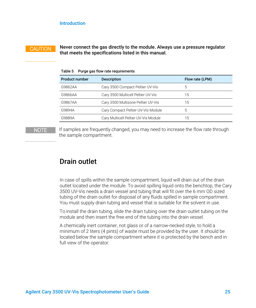CAUTION Never connect the gas directly to the module. Always use a pressure regulator that meets the specifications listed in this manual.

| <b>Product number</b> | <b>Description</b>                   | Flow rate (LPM) |
|-----------------------|--------------------------------------|-----------------|
| G9862AA               | Cary 3500 Compact Peltier UV-Vis     | 5               |
| G9866AA               | Cary 3500 Multicell Peltier UV-Vis   | 15              |
| G9867AA               | Cary 3500 Multizone Peltier UV-Vis   | 15              |
| G9894A                | Cary Compact Peltier UV-Vis Module   | 5               |
| G9889A                | Cary Multicell Peltier UV-Vis Module | 15              |

| Table 5 | Purge gas flow rate requirements |
|---------|----------------------------------|
|---------|----------------------------------|

<span id="page-24-0"></span>

NOTE If samples are frequently changed, you may need to increase the flow rate through the sample compartment.

## Drain outlet

In case of spills within the sample compartment, liquid will drain out of the drain outlet located under the module. To avoid spilling liquid onto the benchtop, the Cary 3500 UV-Vis needs a drain vessel and tubing that will fit over the 6 mm OD sized tubing of the drain outlet for disposal of any fluids spilled in sample compartment. You must supply drain tubing and vessel that is suitable for the solvent in use.

To install the drain tubing, slide the drain tubing over the drain outlet tubing on the module and then insert the free end of the tubing into the drain vessel.

A chemically inert container, not glass or of a narrow-necked style, to hold a minimum of 2 liters (4 pints) of waste must be provided by the user. It should be located below the sample compartment where it is protected by the bench and in full view of the operator.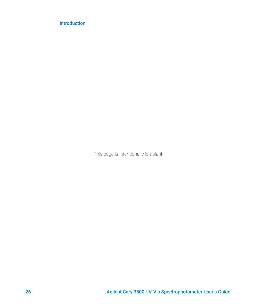This page is intentionally left blank.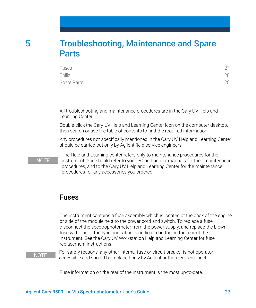# <span id="page-26-0"></span>5 Troubleshooting, Maintenance and Spare Parts

| Fuses       | 27 |
|-------------|----|
| Spills      | 28 |
| Spare Parts | 28 |

All troubleshooting and maintenance procedures are in the Cary UV Help and Learning Center.

Double-click the Cary UV Help and Learning Center icon on the computer desktop, then search or use the table of contents to find the required information.

Any procedures not specifically mentioned in the Cary UV Help and Learning Center should be carried out only by Agilent field service engineers.

#### <span id="page-26-1"></span>NOTE

The Help and Learning center refers only to maintenance procedures for the instrument. You should refer to your PC and printer manuals for their maintenance procedures, and to the Cary UV Help and Learning Center for the maintenance procedures for any accessories you ordered.

### Fuses

The instrument contains a fuse assembly which is located at the back of the engine or side of the module next to the power cord and switch. To replace a fuse, disconnect the spectrophotometer from the power supply, and replace the blown fuse with one of the type and rating as indicated in the on the rear of the instrument. See the Cary UV Workstation Help and Learning Center for fuse replacement instructions.

NOTE For safety reasons, any other internal fuse or circuit breaker is not operatoraccessible and should be replaced only by Agilent authorized personnel.

Fuse information on the rear of the instrument is the most up-to-date.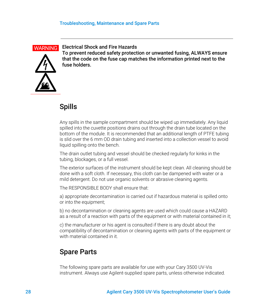

WARNING Electrical Shock and Fire Hazards

To prevent reduced safety protection or unwanted fusing, ALWAYS ensure that the code on the fuse cap matches the information printed next to the fuse holders.

# <span id="page-27-0"></span>Spills

Any spills in the sample compartment should be wiped up immediately. Any liquid spilled into the cuvette positions drains out through the drain tube located on the bottom of the module. It is recommended that an additional length of PTFE tubing is slid over the 6 mm OD drain tubing and inserted into a collection vessel to avoid liquid spilling onto the bench.

The drain outlet tubing and vessel should be checked regularly for kinks in the tubing, blockages, or a full vessel.

The exterior surfaces of the instrument should be kept clean. All cleaning should be done with a soft cloth. If necessary, this cloth can be dampened with water or a mild detergent. Do not use organic solvents or abrasive cleaning agents.

<span id="page-27-1"></span>The RESPONSIBLE BODY shall ensure that:

a) appropriate decontamination is carried out if hazardous material is spilled onto or into the equipment;

b) no decontamination or cleaning agents are used which could cause a HAZARD as a result of a reaction with parts of the equipment or with material contained in it;

c) the manufacturer or his agent is consulted if there is any doubt about the compatibility of decontamination or cleaning agents with parts of the equipment or with material contained in it.

# Spare Parts

The following spare parts are available for use with your Cary 3500 UV-Vis instrument. Always use Agilent-supplied spare parts, unless otherwise indicated.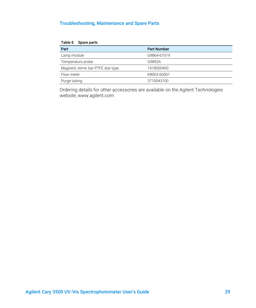### Troubleshooting, Maintenance and Spare Parts

| Table 6 | Spare parts |  |
|---------|-------------|--|
|---------|-------------|--|

| Part                                | <b>Part Number</b> |
|-------------------------------------|--------------------|
| Lamp module                         | G9864-67019        |
| Temperature probe                   | G9892A             |
| Magnetic stirrer bar PTFE star type | 7418000400         |
| Flow meter                          | K8003-60001        |
| Purge tubing                        | 3710043100         |

Ordering details for other accessories are available on the Agilent Technologies website, www.agilent.com